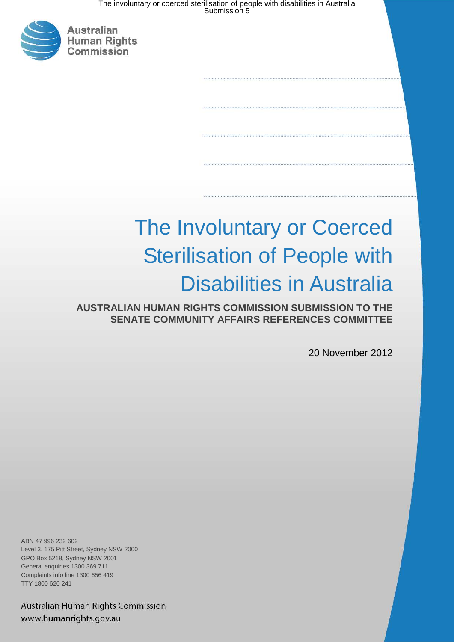The involuntary or coerced sterilisation of people with disabilities in Australia Submission 5



# The Involuntary or Coerced Sterilisation of People with Disabilities in Australia

**AUSTRALIAN HUMAN RIGHTS COMMISSION SUBMISSION TO THE SENATE COMMUNITY AFFAIRS REFERENCES COMMITTEE**

20 November 2012

ABN 47 996 232 602 Level 3, 175 Pitt Street, Sydney NSW 2000 GPO Box 5218, Sydney NSW 2001 General enquiries 1300 369 711 Complaints info line 1300 656 419 TTY 1800 620 241

Australian Human Rights Commission www.humanrights.gov.au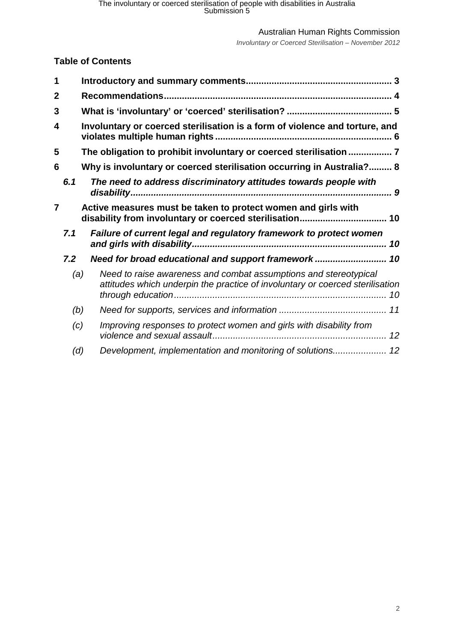*Involuntary or Coerced Sterilisation – November 2012*

## **Table of Contents**

| 1 |     |                                                                                                                                                   |
|---|-----|---------------------------------------------------------------------------------------------------------------------------------------------------|
| 2 |     |                                                                                                                                                   |
| 3 |     |                                                                                                                                                   |
| 4 |     | Involuntary or coerced sterilisation is a form of violence and torture, and                                                                       |
| 5 |     | The obligation to prohibit involuntary or coerced sterilisation  7                                                                                |
| 6 |     | Why is involuntary or coerced sterilisation occurring in Australia? 8                                                                             |
|   | 6.1 | The need to address discriminatory attitudes towards people with                                                                                  |
| 7 |     | Active measures must be taken to protect women and girls with<br>disability from involuntary or coerced sterilisation 10                          |
|   | 7.1 | Failure of current legal and regulatory framework to protect women                                                                                |
|   | 7.2 | Need for broad educational and support framework 10                                                                                               |
|   | (a) | Need to raise awareness and combat assumptions and stereotypical<br>attitudes which underpin the practice of involuntary or coerced sterilisation |
|   | (b) |                                                                                                                                                   |
|   | (c) | Improving responses to protect women and girls with disability from                                                                               |
|   | (d) |                                                                                                                                                   |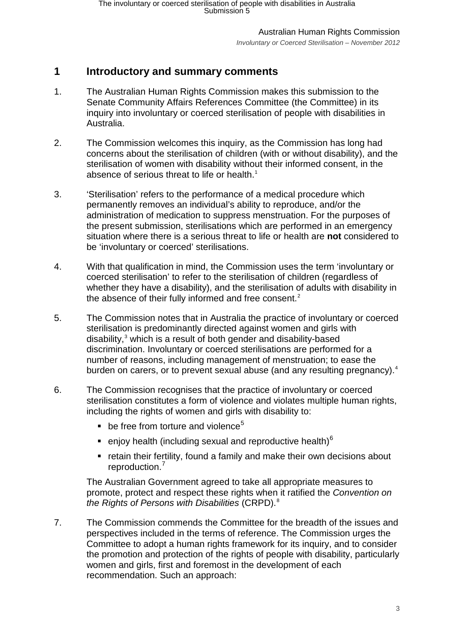Australian Human Rights Commission *Involuntary or Coerced Sterilisation – November 2012*

# <span id="page-2-0"></span>**1 Introductory and summary comments**

- 1. The Australian Human Rights Commission makes this submission to the Senate Community Affairs References Committee (the Committee) in its inquiry into involuntary or coerced sterilisation of people with disabilities in Australia.
- 2. The Commission welcomes this inquiry, as the Commission has long had concerns about the sterilisation of children (with or without disability), and the sterilisation of women with disability without their informed consent, in the absence of serious threat to life or health. [1](#page-12-0)
- 3. 'Sterilisation' refers to the performance of a medical procedure which permanently removes an individual's ability to reproduce, and/or the administration of medication to suppress menstruation. For the purposes of the present submission, sterilisations which are performed in an emergency situation where there is a serious threat to life or health are **not** considered to be 'involuntary or coerced' sterilisations.
- 4. With that qualification in mind, the Commission uses the term 'involuntary or coerced sterilisation' to refer to the sterilisation of children (regardless of whether they have a disability), and the sterilisation of adults with disability in the absence of their fully informed and free consent.<sup>[2](#page-12-1)</sup>
- 5. The Commission notes that in Australia the practice of involuntary or coerced sterilisation is predominantly directed against women and girls with disability, $3$  which is a result of both gender and disability-based discrimination. Involuntary or coerced sterilisations are performed for a number of reasons, including management of menstruation; to ease the burden on carers, or to prevent sexual abuse (and any resulting pregnancy).<sup>[4](#page-12-3)</sup>
- 6. The Commission recognises that the practice of involuntary or coerced sterilisation constitutes a form of violence and violates multiple human rights, including the rights of women and girls with disability to:
	- $\blacksquare$  be free from torture and violence<sup>[5](#page-12-4)</sup>
	- enjoy health (including sexual and reproductive health)<sup>[6](#page-12-5)</sup>
	- retain their fertility, found a family and make their own decisions about reproduction. [7](#page-12-6)

The Australian Government agreed to take all appropriate measures to promote, protect and respect these rights when it ratified the *Convention on the Rights of Persons with Disabilities* (CRPD).[8](#page-12-7)

7. The Commission commends the Committee for the breadth of the issues and perspectives included in the terms of reference. The Commission urges the Committee to adopt a human rights framework for its inquiry, and to consider the promotion and protection of the rights of people with disability, particularly women and girls, first and foremost in the development of each recommendation. Such an approach: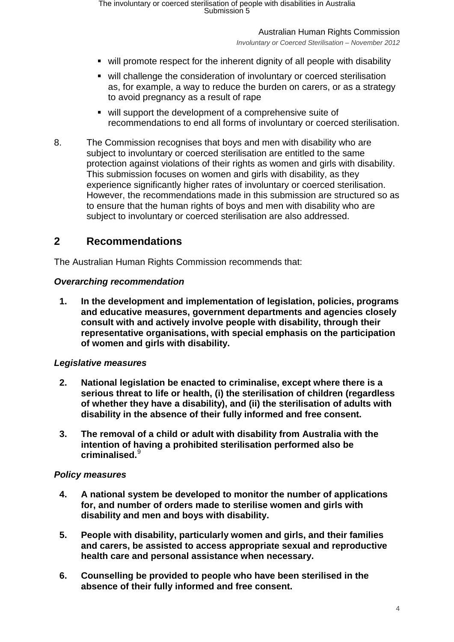The involuntary or coerced sterilisation of people with disabilities in Australia Submission 5

Australian Human Rights Commission

*Involuntary or Coerced Sterilisation – November 2012*

- will promote respect for the inherent dignity of all people with disability
- will challenge the consideration of involuntary or coerced sterilisation as, for example, a way to reduce the burden on carers, or as a strategy to avoid pregnancy as a result of rape
- will support the development of a comprehensive suite of recommendations to end all forms of involuntary or coerced sterilisation.
- 8. The Commission recognises that boys and men with disability who are subject to involuntary or coerced sterilisation are entitled to the same protection against violations of their rights as women and girls with disability. This submission focuses on women and girls with disability, as they experience significantly higher rates of involuntary or coerced sterilisation. However, the recommendations made in this submission are structured so as to ensure that the human rights of boys and men with disability who are subject to involuntary or coerced sterilisation are also addressed.

## <span id="page-3-0"></span>**2 Recommendations**

The Australian Human Rights Commission recommends that:

#### *Overarching recommendation*

**1. In the development and implementation of legislation, policies, programs and educative measures, government departments and agencies closely consult with and actively involve people with disability, through their representative organisations, with special emphasis on the participation of women and girls with disability.** 

#### *Legislative measures*

- **2. National legislation be enacted to criminalise, except where there is a serious threat to life or health, (i) the sterilisation of children (regardless of whether they have a disability), and (ii) the sterilisation of adults with disability in the absence of their fully informed and free consent.**
- **3. The removal of a child or adult with disability from Australia with the intention of having a prohibited sterilisation performed also be criminalised.**[9](#page-13-0)

#### *Policy measures*

- **4. A national system be developed to monitor the number of applications for, and number of orders made to sterilise women and girls with disability and men and boys with disability.**
- **5. People with disability, particularly women and girls, and their families and carers, be assisted to access appropriate sexual and reproductive health care and personal assistance when necessary.**
- **6. Counselling be provided to people who have been sterilised in the absence of their fully informed and free consent.**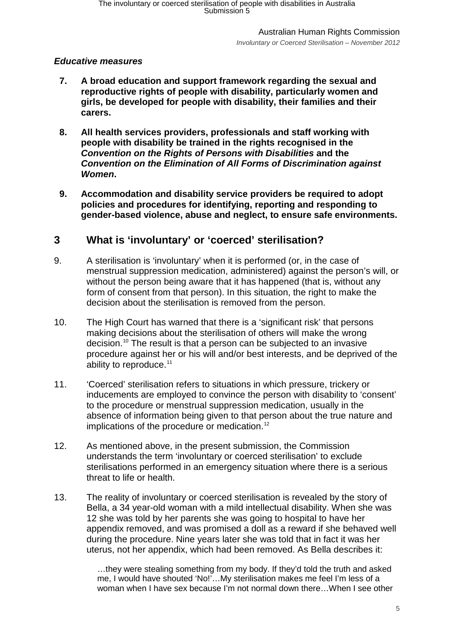Australian Human Rights Commission *Involuntary or Coerced Sterilisation – November 2012*

### *Educative measures*

- **7. A broad education and support framework regarding the sexual and reproductive rights of people with disability, particularly women and girls, be developed for people with disability, their families and their carers.**
- **8. All health services providers, professionals and staff working with people with disability be trained in the rights recognised in the**  *Convention on the Rights of Persons with Disabilities* **and the**  *Convention on the Elimination of All Forms of Discrimination against Women***.**
- **9. Accommodation and disability service providers be required to adopt policies and procedures for identifying, reporting and responding to gender-based violence, abuse and neglect, to ensure safe environments.**

## <span id="page-4-0"></span>**3 What is 'involuntary' or 'coerced' sterilisation?**

- 9. A sterilisation is 'involuntary' when it is performed (or, in the case of menstrual suppression medication, administered) against the person's will, or without the person being aware that it has happened (that is, without any form of consent from that person). In this situation, the right to make the decision about the sterilisation is removed from the person.
- 10. The High Court has warned that there is a 'significant risk' that persons making decisions about the sterilisation of others will make the wrong decision[.10](#page-14-0) The result is that a person can be subjected to an invasive procedure against her or his will and/or best interests, and be deprived of the ability to reproduce.<sup>11</sup>
- 11. 'Coerced' sterilisation refers to situations in which pressure, trickery or inducements are employed to convince the person with disability to 'consent' to the procedure or menstrual suppression medication, usually in the absence of information being given to that person about the true nature and implications of the procedure or medication.<sup>[12](#page-14-2)</sup>
- 12. As mentioned above, in the present submission, the Commission understands the term 'involuntary or coerced sterilisation' to exclude sterilisations performed in an emergency situation where there is a serious threat to life or health.
- 13. The reality of involuntary or coerced sterilisation is revealed by the story of Bella, a 34 year-old woman with a mild intellectual disability. When she was 12 she was told by her parents she was going to hospital to have her appendix removed, and was promised a doll as a reward if she behaved well during the procedure. Nine years later she was told that in fact it was her uterus, not her appendix, which had been removed. As Bella describes it:

…they were stealing something from my body. If they'd told the truth and asked me, I would have shouted 'No!'…My sterilisation makes me feel I'm less of a woman when I have sex because I'm not normal down there…When I see other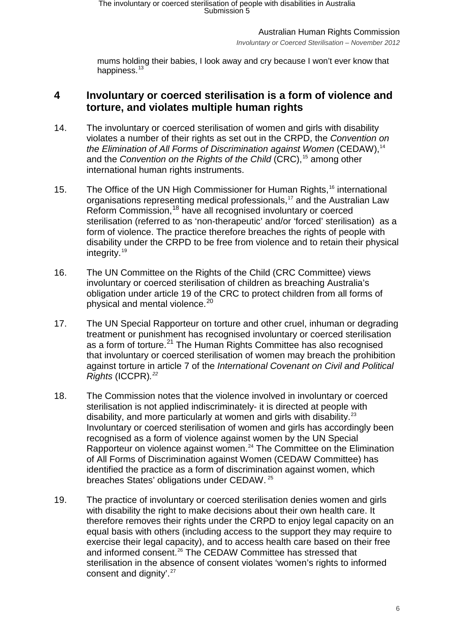*Involuntary or Coerced Sterilisation – November 2012*

mums holding their babies, I look away and cry because I won't ever know that happiness.<sup>[13](#page-15-0)</sup>

## <span id="page-5-0"></span>**4 Involuntary or coerced sterilisation is a form of violence and torture, and violates multiple human rights**

- 14. The involuntary or coerced sterilisation of women and girls with disability violates a number of their rights as set out in the CRPD, the *Convention on the Elimination of All Forms of Discrimination against Women* (CEDAW),<sup>[14](#page-15-1)</sup> and the *Convention on the Rights of the Child* (CRC), [15](#page-15-2) among other international human rights instruments.
- 15. The Office of the UN High Commissioner for Human Rights, [16](#page-15-3) international organisations representing medical professionals,<sup>[17](#page-15-4)</sup> and the Australian Law Reform Commission, [18](#page-15-5) have all recognised involuntary or coerced sterilisation (referred to as 'non-therapeutic' and/or 'forced' sterilisation) as a form of violence. The practice therefore breaches the rights of people with disability under the CRPD to be free from violence and to retain their physical integrity. [19](#page-15-6)
- 16. The UN Committee on the Rights of the Child (CRC Committee) views involuntary or coerced sterilisation of children as breaching Australia's obligation under article 19 of the CRC to protect children from all forms of physical and mental violence.<sup>[20](#page-15-7)</sup>
- 17. The UN Special Rapporteur on torture and other cruel, inhuman or degrading treatment or punishment has recognised involuntary or coerced sterilisation as a form of torture.<sup>[21](#page-15-8)</sup> The Human Rights Committee has also recognised that involuntary or coerced sterilisation of women may breach the prohibition against torture in article 7 of the *International Covenant on Civil and Political Rights* (ICCPR)*. [22](#page-15-9)*
- 18. The Commission notes that the violence involved in involuntary or coerced sterilisation is not applied indiscriminately- it is directed at people with disability, and more particularly at women and girls with disability. $23$ Involuntary or coerced sterilisation of women and girls has accordingly been recognised as a form of violence against women by the UN Special Rapporteur on violence against women. [24](#page-15-11) The Committee on the Elimination of All Forms of Discrimination against Women (CEDAW Committee) has identified the practice as a form of discrimination against women, which breaches States' obligations under CEDAW. [25](#page-15-12)
- 19. The practice of involuntary or coerced sterilisation denies women and girls with disability the right to make decisions about their own health care. It therefore removes their rights under the CRPD to enjoy legal capacity on an equal basis with others (including access to the support they may require to exercise their legal capacity), and to access health care based on their free and informed consent.<sup>[26](#page-15-13)</sup> The CEDAW Committee has stressed that sterilisation in the absence of consent violates 'women's rights to informed consent and dignity'.<sup>[27](#page-15-14)</sup>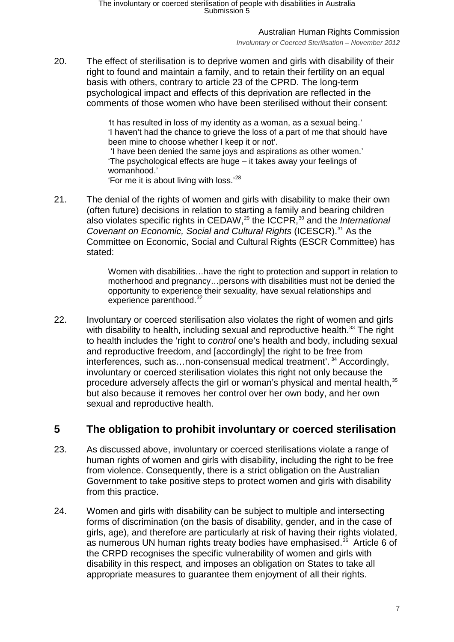*Involuntary or Coerced Sterilisation – November 2012*

20. The effect of sterilisation is to deprive women and girls with disability of their right to found and maintain a family, and to retain their fertility on an equal basis with others, contrary to article 23 of the CPRD. The long-term psychological impact and effects of this deprivation are reflected in the comments of those women who have been sterilised without their consent:

> *'*It has resulted in loss of my identity as a woman, as a sexual being.' 'I haven't had the chance to grieve the loss of a part of me that should have been mine to choose whether I keep it or not'.

'I have been denied the same joys and aspirations as other women.' 'The psychological effects are huge – it takes away your feelings of womanhood.'

'For me it is about living with loss.'[28](#page-15-15)

21. The denial of the rights of women and girls with disability to make their own (often future) decisions in relation to starting a family and bearing children also violates specific rights in CEDAW,<sup>[29](#page-15-16)</sup> the ICCPR,<sup>[30](#page-15-17)</sup> and the *International Covenant on Economic, Social and Cultural Rights* (ICESCR).[31](#page-15-18) As the Committee on Economic, Social and Cultural Rights (ESCR Committee) has stated:

> Women with disabilities…have the right to protection and support in relation to motherhood and pregnancy…persons with disabilities must not be denied the opportunity to experience their sexuality, have sexual relationships and experience parenthood.<sup>[32](#page-15-19)</sup>

22. Involuntary or coerced sterilisation also violates the right of women and girls with disability to health, including sexual and reproductive health.<sup>[33](#page-15-2)</sup> The right to health includes the 'right to *control* one's health and body, including sexual and reproductive freedom, and [accordingly] the right to be free from interferences, such as...non-consensual medical treatment'.<sup>[34](#page-15-4)</sup> Accordingly, involuntary or coerced sterilisation violates this right not only because the procedure adversely affects the girl or woman's physical and mental health, [35](#page-15-20) but also because it removes her control over her own body, and her own sexual and reproductive health.

# <span id="page-6-0"></span>**5 The obligation to prohibit involuntary or coerced sterilisation**

- 23. As discussed above, involuntary or coerced sterilisations violate a range of human rights of women and girls with disability, including the right to be free from violence. Consequently, there is a strict obligation on the Australian Government to take positive steps to protect women and girls with disability from this practice.
- 24. Women and girls with disability can be subject to multiple and intersecting forms of discrimination (on the basis of disability, gender, and in the case of girls, age), and therefore are particularly at risk of having their rights violated, as numerous UN human rights treaty bodies have emphasised.<sup>36</sup> Article 6 of the CRPD recognises the specific vulnerability of women and girls with disability in this respect, and imposes an obligation on States to take all appropriate measures to guarantee them enjoyment of all their rights.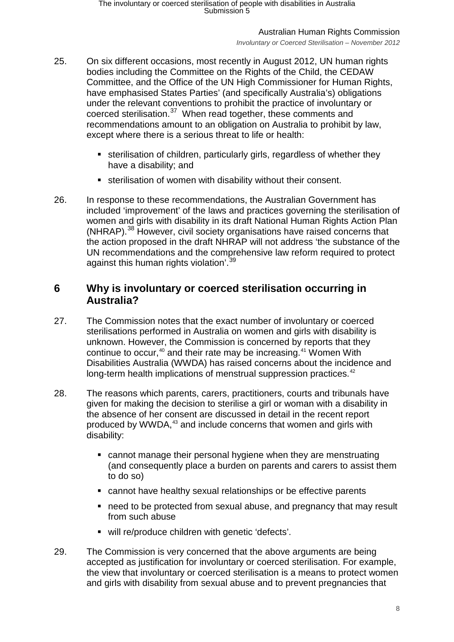*Involuntary or Coerced Sterilisation – November 2012*

- 25. On six different occasions, most recently in August 2012, UN human rights bodies including the Committee on the Rights of the Child, the CEDAW Committee, and the Office of the UN High Commissioner for Human Rights, have emphasised States Parties' (and specifically Australia's) obligations under the relevant conventions to prohibit the practice of involuntary or coerced sterilisation.[37](#page-15-22) When read together, these comments and recommendations amount to an obligation on Australia to prohibit by law, except where there is a serious threat to life or health:
	- sterilisation of children, particularly girls, regardless of whether they have a disability; and
	- sterilisation of women with disability without their consent.
- 26. In response to these recommendations, the Australian Government has included 'improvement' of the laws and practices governing the sterilisation of women and girls with disability in its draft National Human Rights Action Plan (NHRAP).<sup>[38](#page-15-23)</sup> However, civil society organisations have raised concerns that the action proposed in the draft NHRAP will not address 'the substance of the UN recommendations and the comprehensive law reform required to protect against this human rights violation'.<sup>[39](#page-15-24)</sup>

## <span id="page-7-0"></span>**6 Why is involuntary or coerced sterilisation occurring in Australia?**

- 27. The Commission notes that the exact number of involuntary or coerced sterilisations performed in Australia on women and girls with disability is unknown. However, the Commission is concerned by reports that they continue to occur,  $40$  and their rate may be increasing.  $41$  Women With Disabilities Australia (WWDA) has raised concerns about the incidence and long-term health implications of menstrual suppression practices.<sup>[42](#page-15-25)</sup>
- <span id="page-7-1"></span>28. The reasons which parents, carers, practitioners, courts and tribunals have given for making the decision to sterilise a girl or woman with a disability in the absence of her consent are discussed in detail in the recent report produced by WWDA, [43](#page-15-26) and include concerns that women and girls with disability:
	- cannot manage their personal hygiene when they are menstruating (and consequently place a burden on parents and carers to assist them to do so)
	- cannot have healthy sexual relationships or be effective parents
	- need to be protected from sexual abuse, and pregnancy that may result from such abuse
	- will re/produce children with genetic 'defects'.
- 29. The Commission is very concerned that the above arguments are being accepted as justification for involuntary or coerced sterilisation. For example, the view that involuntary or coerced sterilisation is a means to protect women and girls with disability from sexual abuse and to prevent pregnancies that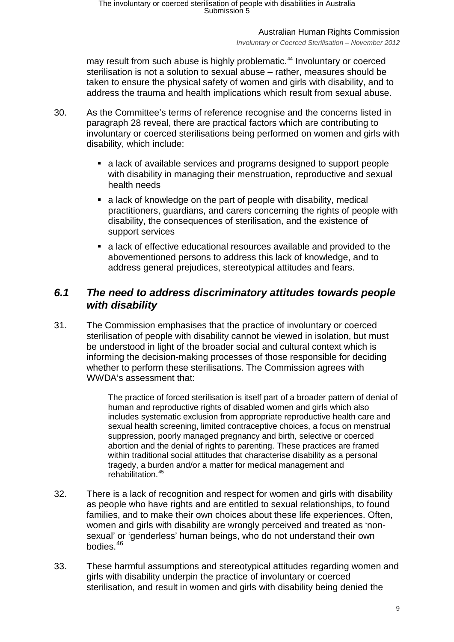*Involuntary or Coerced Sterilisation – November 2012*

may result from such abuse is highly problematic. [44](#page-15-18) Involuntary or coerced sterilisation is not a solution to sexual abuse – rather, measures should be taken to ensure the physical safety of women and girls with disability, and to address the trauma and health implications which result from sexual abuse.

- 30. As the Committee's terms of reference recognise and the concerns listed in paragraph [28](#page-7-1) reveal, there are practical factors which are contributing to involuntary or coerced sterilisations being performed on women and girls with disability, which include:
	- a lack of available services and programs designed to support people with disability in managing their menstruation, reproductive and sexual health needs
	- a lack of knowledge on the part of people with disability, medical practitioners, guardians, and carers concerning the rights of people with disability, the consequences of sterilisation, and the existence of support services
	- a lack of effective educational resources available and provided to the abovementioned persons to address this lack of knowledge, and to address general prejudices, stereotypical attitudes and fears.

## <span id="page-8-0"></span>*6.1 The need to address discriminatory attitudes towards people with disability*

31. The Commission emphasises that the practice of involuntary or coerced sterilisation of people with disability cannot be viewed in isolation, but must be understood in light of the broader social and cultural context which is informing the decision-making processes of those responsible for deciding whether to perform these sterilisations. The Commission agrees with WWDA's assessment that:

> The practice of forced sterilisation is itself part of a broader pattern of denial of human and reproductive rights of disabled women and girls which also includes systematic exclusion from appropriate reproductive health care and sexual health screening, limited contraceptive choices, a focus on menstrual suppression, poorly managed pregnancy and birth, selective or coerced abortion and the denial of rights to parenting. These practices are framed within traditional social attitudes that characterise disability as a personal tragedy, a burden and/or a matter for medical management and rehabilitation.[45](#page-15-27)

- 32. There is a lack of recognition and respect for women and girls with disability as people who have rights and are entitled to sexual relationships, to found families, and to make their own choices about these life experiences. Often, women and girls with disability are wrongly perceived and treated as 'nonsexual' or 'genderless' human beings, who do not understand their own bodies<sup>[46](#page-15-28)</sup>
- 33. These harmful assumptions and stereotypical attitudes regarding women and girls with disability underpin the practice of involuntary or coerced sterilisation, and result in women and girls with disability being denied the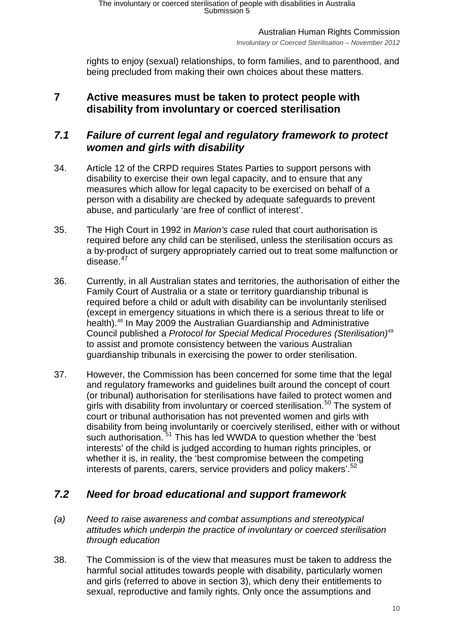Australian Human Rights Commission *Involuntary or Coerced Sterilisation – November 2012*

rights to enjoy (sexual) relationships, to form families, and to parenthood, and being precluded from making their own choices about these matters.

# <span id="page-9-0"></span>**7 Active measures must be taken to protect people with disability from involuntary or coerced sterilisation**

# <span id="page-9-1"></span>*7.1 Failure of current legal and regulatory framework to protect women and girls with disability*

- 34. Article 12 of the CRPD requires States Parties to support persons with disability to exercise their own legal capacity, and to ensure that any measures which allow for legal capacity to be exercised on behalf of a person with a disability are checked by adequate safeguards to prevent abuse, and particularly 'are free of conflict of interest'.
- 35. The High Court in 1992 in *Marion's case* ruled that court authorisation is required before any child can be sterilised, unless the sterilisation occurs as a by-product of surgery appropriately carried out to treat some malfunction or disease. $47$
- 36. Currently, in all Australian states and territories, the authorisation of either the Family Court of Australia or a state or territory guardianship tribunal is required before a child or adult with disability can be involuntarily sterilised (except in emergency situations in which there is a serious threat to life or health). [48](#page-15-2) In May 2009 the Australian Guardianship and Administrative Council published a *Protocol for Special Medical Procedures (Sterilisation)*[49](#page-15-4) to assist and promote consistency between the various Australian guardianship tribunals in exercising the power to order sterilisation.
- 37. However, the Commission has been concerned for some time that the legal and regulatory frameworks and guidelines built around the concept of court (or tribunal) authorisation for sterilisations have failed to protect women and girls with disability from involuntary or coerced sterilisation.<sup>[50](#page-15-29)</sup> The system of court or tribunal authorisation has not prevented women and girls with disability from being involuntarily or coercively sterilised, either with or without such authorisation. <sup>[51](#page-15-5)</sup> This has led WWDA to question whether the 'best interests' of the child is judged according to human rights principles, or whether it is, in reality, the 'best compromise between the competing interests of parents, carers, service providers and policy makers'.<sup>[52](#page-15-6)</sup>

# <span id="page-9-2"></span>*7.2 Need for broad educational and support framework*

- <span id="page-9-3"></span>*(a) Need to raise awareness and combat assumptions and stereotypical attitudes which underpin the practice of involuntary or coerced sterilisation through education*
- 38. The Commission is of the view that measures must be taken to address the harmful social attitudes towards people with disability, particularly women and girls (referred to above in section 3), which deny their entitlements to sexual, reproductive and family rights. Only once the assumptions and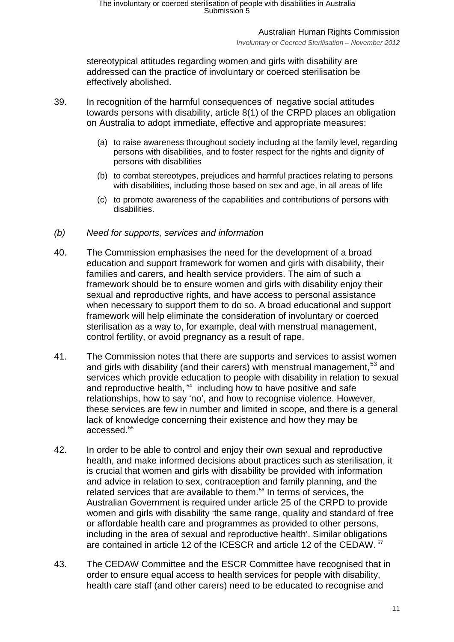*Involuntary or Coerced Sterilisation – November 2012*

stereotypical attitudes regarding women and girls with disability are addressed can the practice of involuntary or coerced sterilisation be effectively abolished.

- 39. In recognition of the harmful consequences of negative social attitudes towards persons with disability, article 8(1) of the CRPD places an obligation on Australia to adopt immediate, effective and appropriate measures:
	- (a) to raise awareness throughout society including at the family level, regarding persons with disabilities, and to foster respect for the rights and dignity of persons with disabilities
	- (b) to combat stereotypes, prejudices and harmful practices relating to persons with disabilities, including those based on sex and age, in all areas of life
	- (c) to promote awareness of the capabilities and contributions of persons with disabilities.
- <span id="page-10-0"></span>*(b) Need for supports, services and information*
- 40. The Commission emphasises the need for the development of a broad education and support framework for women and girls with disability, their families and carers, and health service providers. The aim of such a framework should be to ensure women and girls with disability enjoy their sexual and reproductive rights, and have access to personal assistance when necessary to support them to do so. A broad educational and support framework will help eliminate the consideration of involuntary or coerced sterilisation as a way to, for example, deal with menstrual management, control fertility, or avoid pregnancy as a result of rape.
- 41. The Commission notes that there are supports and services to assist women and girls with disability (and their carers) with menstrual management,<sup>[53](#page-15-30)</sup> and services which provide education to people with disability in relation to sexual and reproductive health, <sup>54</sup> including how to have positive and safe relationships, how to say 'no', and how to recognise violence. However, these services are few in number and limited in scope, and there is a general lack of knowledge concerning their existence and how they may be accessed. [55](#page-15-9)
- 42. In order to be able to control and enjoy their own sexual and reproductive health, and make informed decisions about practices such as sterilisation, it is crucial that women and girls with disability be provided with information and advice in relation to sex, contraception and family planning, and the related services that are available to them.<sup>[56](#page-15-10)</sup> In terms of services, the Australian Government is required under article 25 of the CRPD to provide women and girls with disability 'the same range, quality and standard of free or affordable health care and programmes as provided to other persons, including in the area of sexual and reproductive health'. Similar obligations are contained in article 12 of the ICESCR and article 12 of the CEDAW. [57](#page-15-23)
- 43. The CEDAW Committee and the ESCR Committee have recognised that in order to ensure equal access to health services for people with disability, health care staff (and other carers) need to be educated to recognise and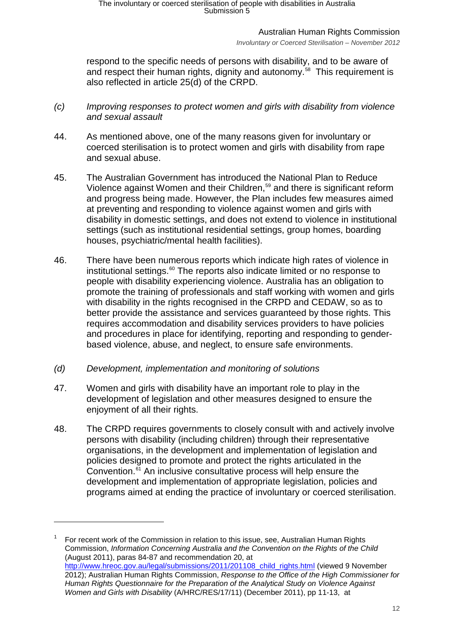*Involuntary or Coerced Sterilisation – November 2012*

respond to the specific needs of persons with disability, and to be aware of and respect their human rights, dignity and autonomy.<sup>[58](#page-15-13)</sup> This requirement is also reflected in article 25(d) of the CRPD.

- <span id="page-11-0"></span>*(c) Improving responses to protect women and girls with disability from violence and sexual assault*
- 44. As mentioned above, one of the many reasons given for involuntary or coerced sterilisation is to protect women and girls with disability from rape and sexual abuse.
- 45. The Australian Government has introduced the National Plan to Reduce Violence against Women and their Children, [59](#page-15-17) and there is significant reform and progress being made. However, the Plan includes few measures aimed at preventing and responding to violence against women and girls with disability in domestic settings, and does not extend to violence in institutional settings (such as institutional residential settings, group homes, boarding houses, psychiatric/mental health facilities).
- 46. There have been numerous reports which indicate high rates of violence in institutional settings. [60](#page-15-31) The reports also indicate limited or no response to people with disability experiencing violence. Australia has an obligation to promote the training of professionals and staff working with women and girls with disability in the rights recognised in the CRPD and CEDAW, so as to better provide the assistance and services guaranteed by those rights. This requires accommodation and disability services providers to have policies and procedures in place for identifying, reporting and responding to genderbased violence, abuse, and neglect, to ensure safe environments.
- <span id="page-11-1"></span>*(d) Development, implementation and monitoring of solutions*

- 47. Women and girls with disability have an important role to play in the development of legislation and other measures designed to ensure the enjoyment of all their rights.
- 48. The CRPD requires governments to closely consult with and actively involve persons with disability (including children) through their representative organisations, in the development and implementation of legislation and policies designed to promote and protect the rights articulated in the Convention.<sup>[61](#page-15-32)</sup> An inclusive consultative process will help ensure the development and implementation of appropriate legislation, policies and programs aimed at ending the practice of involuntary or coerced sterilisation.

<sup>1</sup> For recent work of the Commission in relation to this issue, see, Australian Human Rights Commission, *Information Concerning Australia and the Convention on the Rights of the Child* (August 2011), paras 84-87 and recommendation 20, at [http://www.hreoc.gov.au/legal/submissions/2011/201108\\_child\\_rights.html](http://www.hreoc.gov.au/legal/submissions/2011/201108_child_rights.html) (viewed 9 November 2012); Australian Human Rights Commission, *Response to the Office of the High Commissioner for Human Rights Questionnaire for the Preparation of the Analytical Study on Violence Against Women and Girls with Disability* (A/HRC/RES/17/11) (December 2011), pp 11-13, at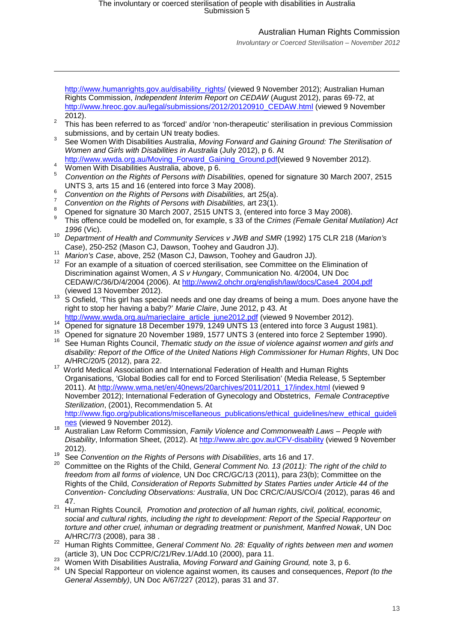*Involuntary or Coerced Sterilisation – November 2012*

[http://www.humanrights.gov.au/disability\\_rights/](http://www.humanrights.gov.au/disability_rights/hr_disab/vhb/2011_AHRC%20Response%20to%20UN%20questionnaire%20for%20the%20preparation%20of%20the%20analyical%20study%20on%20violence%20against%20women%20with%20disability.pdf) (viewed 9 November 2012); Australian Human Rights Commission, *Independent Interim Report on CEDAW* (August 2012), paras 69-72, at [http://www.hreoc.gov.au/legal/submissions/2012/20120910\\_CEDAW.html](http://www.hreoc.gov.au/legal/submissions/2012/20120910_CEDAW.html) (viewed 9 November

- <span id="page-12-1"></span>2012).<br><sup>2</sup> This has been referred to as 'forced' and/or 'non-therapeutic' sterilisation in previous Commission<br>submissions. and by certain UN treaty bodies.
- <span id="page-12-2"></span>submissions, and by certain UN treaty bodies. <sup>3</sup> See Women With Disabilities Australia, *Moving Forward and Gaining Ground: The Sterilisation of Women and Girls with Disabilities in Australia* (July 2012), p 6. At
- <span id="page-12-3"></span>[http://www.wwda.org.au/Moving\\_Forward\\_Gaining\\_Ground.pdf\(](http://www.wwda.org.au/Moving_Forward_Gaining_Ground.pdf)viewed 9 November 2012).<br>Women With Disabilities Australia, above, p 6.
- 

- *Convention on the Rights of Persons with Disabilities,* opened for signature 30 March 2007, 2515
- 
- <span id="page-12-6"></span>
- <span id="page-12-7"></span>
- <span id="page-12-5"></span><span id="page-12-4"></span>UNTS 3, arts 15 and 16 (entered into force 3 May 2008).<br>
<sup>6</sup> Convention on the Rights of Persons with Disabilities, art 25(a).<br>
<sup>7</sup> Convention on the Rights of Persons with Disabilities, art 23(1).<br>
<sup>8</sup> Opened for signatu
- *<sup>1996</sup>* (Vic). <sup>10</sup> *Department of Health and Community Services v JWB and SMR* (1992) 175 CLR 218 (*Marion's*
- 
- <sup>11</sup> Marion's Case, above, 252 (Mason CJ, Dawson, Toohey and Gaudron JJ).<br><sup>12</sup> For an example of a situation of coerced sterilisation, see Committee on the Elimination of Discrimination against Women, *A S v Hungary*, Communication No. 4/2004, UN Doc CEDAW/C/36/D/4/2004 (2006). At [http://www2.ohchr.org/english/law/docs/Case4\\_2004.pdf](http://www2.ohchr.org/english/law/docs/Case4_2004.pdf)
- (viewed 13 November 2012).<br><sup>13</sup> S Osfield. 'This girl has special needs and one day dreams of being a mum. Does anyone have the right to stop her having a baby?' *Marie Claire*, June 2012, p 43. At
- 
- The Universe of November 1979, 1249 UNTS 13 (entered into force 3 August 1981).<br>
The Opened for signature 18 December 1979, 1249 UNTS 13 (entered into force 3 August 1981).<br>
The See Human Rights Council, *Thematic study on*
- 
- *disability: Report of the Office of the United Nations High Commissioner for Human Rights*, UN Doc
- <sup>17</sup> World Medical Association and International Federation of Health and Human Rights Organisations, 'Global Bodies call for end to Forced Sterilisation' (Media Release, 5 September 2011). At [http://www.wma.net/en/40news/20archives/2011/2011\\_17/index.html](http://www.wma.net/en/40news/20archives/2011/2011_17/index.html) (viewed 9 November 2012); International Federation of Gynecology and Obstetrics, *Female Contraceptive Sterilization*, (2001), Recommendation 5. At
- [http://www.figo.org/publications/miscellaneous\\_publications/ethical\\_guidelines/new\\_ethical\\_guideli](http://www.figo.org/publications/miscellaneous_publications/ethical_guidelines/new_ethical_guidelines)nes (viewed 9 November 2012).
- [nes](http://www.figo.org/publications/miscellaneous_publications/ethical_guidelines/new_ethical_guidelines) (viewed 9 November 2012). <sup>18</sup> Australian Law Reform Commission, *Family Violence and Commonwealth Laws – People with Disability*, Information Sheet, (2012). At<http://www.alrc.gov.au/CFV-disability> (viewed 9 November
- 2012). <sup>19</sup> See *Convention on the Rights of Persons with Disabilities*, arts 16 and 17.
- <sup>20</sup> Committee on the Rights of the Child, *General Comment No. 13 (2011): The right of the child to freedom from all forms of violence,* UN Doc CRC/GC/13 (2011), para 23(b); Committee on the Rights of the Child, *Consideration of Reports Submitted by States Parties under Article 44 of the Convention- Concluding Observations: Australia*, UN Doc CRC/C/AUS/CO/4 (2012), paras 46 and 47.
- <sup>21</sup> Human Rights Council*, Promotion and protection of all human rights, civil, political, economic, social and cultural rights, including the right to development: Report of the Special Rapporteur on torture and other cruel, inhuman or degrading treatment or punishment, Manfred Nowak*, UN Doc
- <span id="page-12-0"></span>A/HRC/7/3 (2008), para 38 . <sup>22</sup> Human Rights Committee, *General Comment No. 28: Equality of rights between men and women*
- 
- (article 3), UN Doc CCPR/C/21/Rev.1/Add.10 (2000), para 11.<br><sup>23</sup> Women With Disabilities Australia, *Moving Forward and Gaining Ground,* note 3, p 6.<br><sup>24</sup> UN Special Rapporteur on violence against women, its causes and con *General Assembly)*, UN Doc A/67/227 (2012), paras 31 and 37.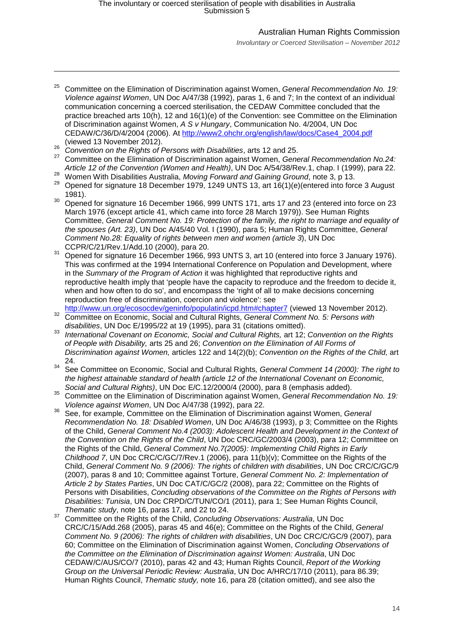*Involuntary or Coerced Sterilisation – November 2012*

- <sup>25</sup> Committee on the Elimination of Discrimination against Women, *General Recommendation No. 19: Violence against Women*, UN Doc A/47/38 (1992), paras 1, 6 and 7; In the context of an individual communication concerning a coerced sterilisation, the CEDAW Committee concluded that the practice breached arts 10(h), 12 and 16(1)(e) of the Convention: see Committee on the Elimination of Discrimination against Women, *A S v Hungary*, Communication No. 4/2004, UN Doc CEDAW/C/36/D/4/2004 (2006). At [http://www2.ohchr.org/english/law/docs/Case4\\_2004.pdf](http://www2.ohchr.org/english/law/docs/Case4_2004.pdf)<br>(viewed 13 November 2012).
- (viewed 13 November 2012). <sup>26</sup> *Convention on the Rights of Persons with Disabilities*, arts 12 and 25.

- <sup>27</sup> Committee on the Elimination of Discrimination against Women, *General Recommendation No.24:*<br>Article 12 of the Convention (Women and Health), UN Doc A/54/38/Rev.1, chap. I (1999), para 22.
- 
- <sup>28</sup> Women With Disabilities Australia, *Moving Forward and Gaining Ground*, note 3, p 13.<br><sup>29</sup> Opened for signature 18 December 1979, 1249 UNTS 13, art 16(1)(e)(entered into force 3 August
- <span id="page-13-0"></span>1981).<br><sup>30</sup> Opened for signature 16 December 1966, 999 UNTS 171, arts 17 and 23 (entered into force on 23 March 1976 (except article 41, which came into force 28 March 1979)). See Human Rights Committee, *General Comment No. 19: Protection of the family, the right to marriage and equality of the spouses (Art. 23)*, UN Doc A/45/40 Vol. I (1990), para 5; Human Rights Committee, *General Comment No.28: Equality of rights between men and women (article 3*), UN Doc
- Opened for signature 16 December 1966, 993 UNTS 3, art 10 (entered into force 3 January 1976). This was confirmed at the 1994 International Conference on Population and Development, where in the *Summary of the Program of Action* it was highlighted that reproductive rights and reproductive health imply that 'people have the capacity to reproduce and the freedom to decide it, when and how often to do so', and encompass the 'right of all to make decisions concerning reproduction free of discrimination, coercion and violence': see<br>http://www.un.org/ecosocdev/geninfo/populatin/icpd.htm#chapter7 (viewed 13 November 2012).
- http://www.un.org/ecosocdev/geninfo/populatin/icpd.htm#chapter7 (viewed 13 November 2012). 32 Committee on Economic, Social and Cultural Rights, *General Comment No. 5: Persons with*
- *disabilities*, UN Doc E/1995/22 at 19 (1995), para 31 (citations omitted). <sup>33</sup> *International Covenant on Economic, Social and Cultural Rights,* art 12; *Convention on the Rights of People with Disability,* arts 25 and 26; *Convention on the Elimination of All Forms of Discrimination against Women,* articles 122 and 14(2)(b); *Convention on the Rights of the Child,* art 24.
- <sup>34</sup> See Committee on Economic, Social and Cultural Rights*, General Comment 14 (2000): The right to the highest attainable standard of health (article 12 of the International Covenant on Economic,*
- *Social and Cultural Rights)*, UN Doc E/C.12/2000/4 (2000), para 8 (emphasis added). <sup>35</sup> Committee on the Elimination of Discrimination against Women, *General Recommendation No. 19:*
- *Violence against Women*, UN Doc A/47/38 (1992), para 22. <sup>36</sup> See, for example, Committee on the Elimination of Discrimination against Women, *General Recommendation No. 18: Disabled Women*, UN Doc A/46/38 (1993), p 3; Committee on the Rights of the Child, *General Comment No.4 (2003): Adolescent Health and Development in the Context of the Convention on the Rights of the Child*, UN Doc CRC/GC/2003/4 (2003), para 12; Committee on the Rights of the Child, *General Comment No.7(2005): Implementing Child Rights in Early Childhood 7*, UN Doc CRC/C/GC/7/Rev.1 (2006), para 11(b)(v); Committee on the Rights of the Child, *General Comment No. 9 (2006): The rights of children with disabilities*, UN Doc CRC/C/GC/9 (2007), paras 8 and 10; Committee against Torture, *General Comment No. 2: Implementation of Article 2 by States Parties*, UN Doc CAT/C/GC/2 (2008), para 22; Committee on the Rights of Persons with Disabilities, *Concluding observations of the Committee on the Rights of Persons with Disabilities: Tunisia*, UN Doc CRPD/C/TUN/CO/1 (2011), para 1; See Human Rights Council,
- *Thematic study*, note 16, paras 17, and 22 to 24.<br>Committee on the Rights of the Child, *Concluding Observations: Australia*, UN Doc CRC/C/15/Add.268 (2005), paras 45 and 46(e); Committee on the Rights of the Child, *General Comment No. 9 (2006): The rights of children with disabilities*, UN Doc CRC/C/GC/9 (2007), para 60; Committee on the Elimination of Discrimination against Women, *Concluding Observations of the Committee on the Elimination of Discrimination against Women: Australia*, UN Doc CEDAW/C/AUS/CO/7 (2010), paras 42 and 43; Human Rights Council, *Report of the Working Group on the Universal Periodic Review: Australia*, UN Doc A/HRC/17/10 (2011), para 86.39; Human Rights Council, *Thematic study,* note 16, para 28 (citation omitted), and see also the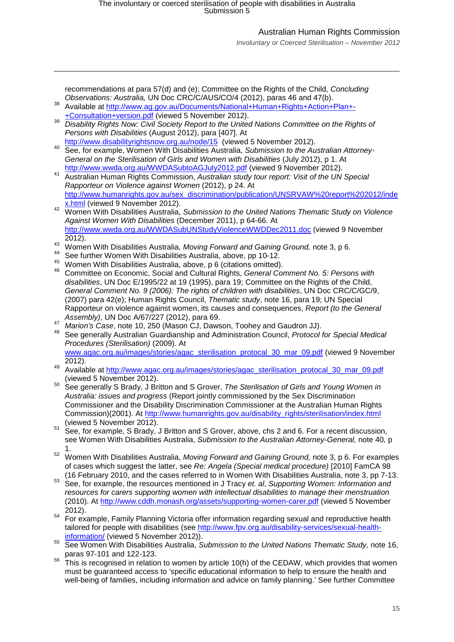-

## Australian Human Rights Commission

*Involuntary or Coerced Sterilisation – November 2012*

<span id="page-14-2"></span><span id="page-14-1"></span><span id="page-14-0"></span>

|    | recommendations at para 57(d) and (e); Committee on the Rights of the Child, Concluding             |
|----|-----------------------------------------------------------------------------------------------------|
| 38 | Observations: Australia, UN Doc CRC/C/AUS/CO/4 (2012), paras 46 and 47(b).                          |
|    | Available at http://www.ag.gov.au/Documents/National+Human+Rights+Action+Plan+-                     |
|    | +Consultation+version.pdf (viewed 5 November 2012).                                                 |
| 39 | Disability Rights Now: Civil Society Report to the United Nations Committee on the Rights of        |
|    | Persons with Disabilities (August 2012), para [407]. At                                             |
|    | http://www.disabilityrightsnow.org.au/node/15 (viewed 5 November 2012).                             |
| 40 | See, for example, Women With Disabilities Australia, Submission to the Australian Attorney-         |
|    | General on the Sterilisation of Girls and Women with Disabilities (July 2012), p 1. At              |
|    | http://www.wwda.org.au/WWDASubtoAGJuly2012.pdf (viewed 9 November 2012).                            |
| 41 | Australian Human Rights Commission, Australian study tour report: Visit of the UN Special           |
|    | Rapporteur on Violence against Women (2012), p 24. At                                               |
|    | http://www.humanrights.gov.au/sex_discrimination/publication/UNSRVAW%20report%202012/inde           |
|    | x.html (viewed 9 November 2012).                                                                    |
| 42 | Women With Disabilities Australia, Submission to the United Nations Thematic Study on Violence      |
|    | Against Women With Disabilities (December 2011), p 64-66. At                                        |
|    | http://www.wwda.org.au/WWDASubUNStudyViolenceWWDDec2011.doc (viewed 9 November                      |
|    |                                                                                                     |
| 43 | 2012).                                                                                              |
| 44 | Women With Disabilities Australia, Moving Forward and Gaining Ground, note 3, p 6.                  |
| 45 | See further Women With Disabilities Australia, above, pp 10-12.                                     |
| 46 | Women With Disabilities Australia, above, p 6 (citations omitted).                                  |
|    | Committee on Economic, Social and Cultural Rights, General Comment No. 5: Persons with              |
|    | disabilities, UN Doc E/1995/22 at 19 (1995), para 19; Committee on the Rights of the Child,         |
|    | General Comment No. 9 (2006): The rights of children with disabilities, UN Doc CRC/C/GC/9,          |
|    | (2007) para 42(e); Human Rights Council, Thematic study, note 16, para 19; UN Special               |
|    | Rapporteur on violence against women, its causes and consequences, Report (to the General           |
| 47 | Assembly), UN Doc A/67/227 (2012), para 69.                                                         |
| 48 | Marion's Case, note 10, 250 (Mason CJ, Dawson, Toohey and Gaudron JJ).                              |
|    | See generally Australian Guardianship and Administration Council, Protocol for Special Medical      |
|    | Procedures (Sterilisation) (2009). At                                                               |
|    | www.agac.org.au/images/stories/agac_sterilisation_protocal_30_mar_09.pdf (viewed 9 November         |
| 49 | 2012).                                                                                              |
|    | Available at http://www.agac.org.au/images/stories/agac_sterilisation_protocal_30_mar_09.pdf        |
| 50 | (viewed 5 November 2012).                                                                           |
|    | See generally S Brady, J Britton and S Grover, The Sterilisation of Girls and Young Women in        |
|    | Australia: issues and progress (Report jointly commissioned by the Sex Discrimination               |
|    | Commissioner and the Disability Discrimination Commissioner at the Australian Human Rights          |
|    | Commission)(2001). At http://www.humanrights.gov.au/disability rights/sterilisation/index.html      |
|    | (viewed 5 November 2012).                                                                           |
| 51 | See, for example, S Brady, J Britton and S Grover, above, chs 2 and 6. For a recent discussion,     |
|    | see Women With Disabilities Australia, Submission to the Australian Attorney-General, note 40, p    |
|    | 1.                                                                                                  |
| 52 | Women With Disabilities Australia, Moving Forward and Gaining Ground, note 3, p 6. For examples     |
|    | of cases which suggest the latter, see Re: Angela (Special medical procedure) [2010] FamCA 98       |
|    | (16 February 2010, and the cases referred to in Women With Disabilities Australia, note 3, pp 7-13. |
| 53 | See, for example, the resources mentioned in J Tracy et. al, Supporting Women: Information and      |
|    | resources for carers supporting women with intellectual disabilities to manage their menstruation   |
|    | (2010). At http://www.cddh.monash.org/assets/supporting-women-carer.pdf (viewed 5 November          |
|    | 2012).                                                                                              |
| 54 | For example, Family Planning Victoria offer information regarding sexual and reproductive health    |
|    | tailored for people with disabilities (see http://www.fpv.org.au/disability-services/sexual-health- |
|    | information/ (viewed 5 November 2012)).                                                             |
| 55 | See Women With Disabilities Australia, Submission to the United Nations Thematic Study, note 16,    |
|    | paras 97-101 and 122-123.                                                                           |
| 56 | This is recognised in relation to women by article 10(h) of the CEDAW, which provides that women    |
|    | must be guaranteed access to 'specific educational information to help to ensure the health and     |
|    | well-being of families, including information and advice on family planning.' See further Committee |
|    |                                                                                                     |
|    |                                                                                                     |